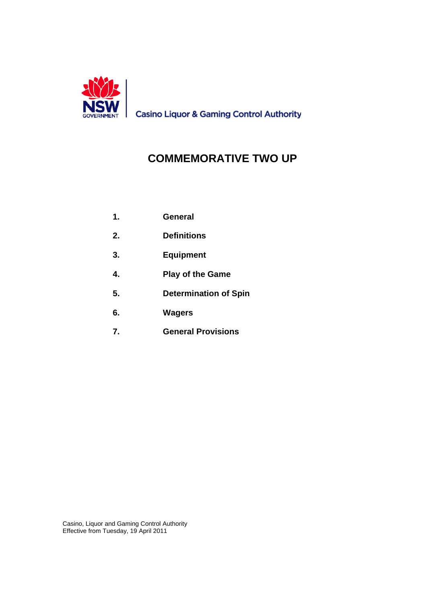

**Casino Liquor & Gaming Control Authority** 

# **COMMEMORATIVE TWO UP**

- **1. General**
- **2. Definitions**
- **3. Equipment**
- **4. Play of the Game**
- **5. Determination of Spin**
- **6. Wagers**
- **7. General Provisions**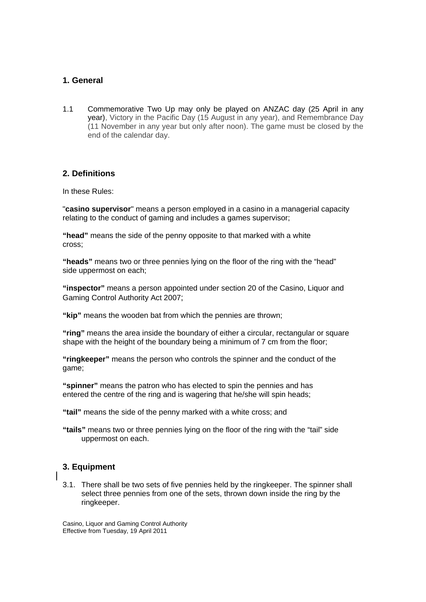# **1. General**

1.1 Commemorative Two Up may only be played on ANZAC day (25 April in any year), Victory in the Pacific Day (15 August in any year), and Remembrance Day (11 November in any year but only after noon). The game must be closed by the end of the calendar day.

# **2. Definitions**

In these Rules:

"**casino supervisor**" means a person employed in a casino in a managerial capacity relating to the conduct of gaming and includes a games supervisor;

**"head"** means the side of the penny opposite to that marked with a white cross;

**"heads"** means two or three pennies lying on the floor of the ring with the "head" side uppermost on each;

**"inspector"** means a person appointed under section 20 of the Casino, Liquor and Gaming Control Authority Act 2007;

**"kip"** means the wooden bat from which the pennies are thrown;

**"ring"** means the area inside the boundary of either a circular, rectangular or square shape with the height of the boundary being a minimum of 7 cm from the floor;

**"ringkeeper"** means the person who controls the spinner and the conduct of the game;

**"spinner"** means the patron who has elected to spin the pennies and has entered the centre of the ring and is wagering that he/she will spin heads;

**"tail"** means the side of the penny marked with a white cross; and

**"tails"** means two or three pennies lying on the floor of the ring with the "tail" side uppermost on each.

# **3. Equipment**

3.1. There shall be two sets of five pennies held by the ringkeeper. The spinner shall select three pennies from one of the sets, thrown down inside the ring by the ringkeeper.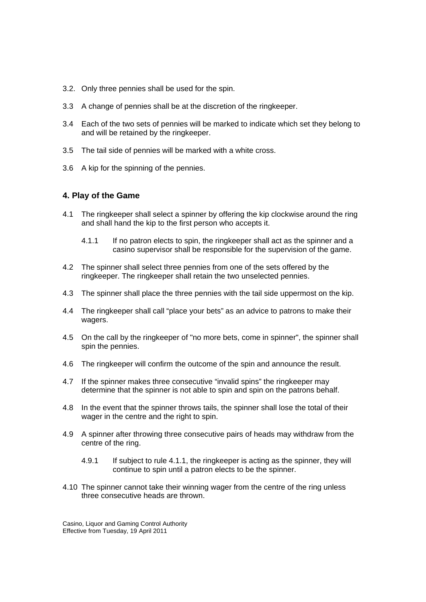- 3.2. Only three pennies shall be used for the spin.
- 3.3 A change of pennies shall be at the discretion of the ringkeeper.
- 3.4 Each of the two sets of pennies will be marked to indicate which set they belong to and will be retained by the ringkeeper.
- 3.5 The tail side of pennies will be marked with a white cross.
- 3.6 A kip for the spinning of the pennies.

#### **4. Play of the Game**

- 4.1 The ringkeeper shall select a spinner by offering the kip clockwise around the ring and shall hand the kip to the first person who accepts it.
	- 4.1.1 If no patron elects to spin, the ringkeeper shall act as the spinner and a casino supervisor shall be responsible for the supervision of the game.
- 4.2 The spinner shall select three pennies from one of the sets offered by the ringkeeper. The ringkeeper shall retain the two unselected pennies.
- 4.3 The spinner shall place the three pennies with the tail side uppermost on the kip.
- 4.4 The ringkeeper shall call "place your bets" as an advice to patrons to make their wagers.
- 4.5 On the call by the ringkeeper of "no more bets, come in spinner", the spinner shall spin the pennies.
- 4.6 The ringkeeper will confirm the outcome of the spin and announce the result.
- 4.7 If the spinner makes three consecutive "invalid spins" the ringkeeper may determine that the spinner is not able to spin and spin on the patrons behalf.
- 4.8 In the event that the spinner throws tails, the spinner shall lose the total of their wager in the centre and the right to spin.
- 4.9 A spinner after throwing three consecutive pairs of heads may withdraw from the centre of the ring.
	- 4.9.1 If subject to rule 4.1.1, the ringkeeper is acting as the spinner, they will continue to spin until a patron elects to be the spinner.
- 4.10 The spinner cannot take their winning wager from the centre of the ring unless three consecutive heads are thrown.

Casino, Liquor and Gaming Control Authority Effective from Tuesday, 19 April 2011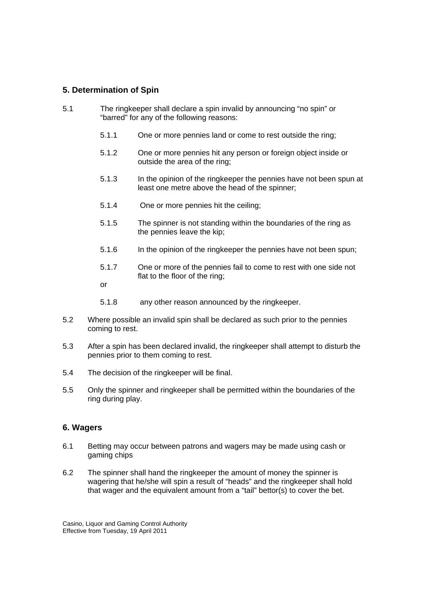# **5. Determination of Spin**

- 5.1 The ringkeeper shall declare a spin invalid by announcing "no spin" or "barred" for any of the following reasons:
	- 5.1.1 One or more pennies land or come to rest outside the ring;
	- 5.1.2 One or more pennies hit any person or foreign object inside or outside the area of the ring;
	- 5.1.3 In the opinion of the ringkeeper the pennies have not been spun at least one metre above the head of the spinner;
	- 5.1.4 One or more pennies hit the ceiling;
	- 5.1.5 The spinner is not standing within the boundaries of the ring as the pennies leave the kip;
	- 5.1.6 In the opinion of the ringkeeper the pennies have not been spun;
	- 5.1.7 One or more of the pennies fail to come to rest with one side not flat to the floor of the ring;
	- or
	- 5.1.8 any other reason announced by the ringkeeper.
- 5.2 Where possible an invalid spin shall be declared as such prior to the pennies coming to rest.
- 5.3 After a spin has been declared invalid, the ringkeeper shall attempt to disturb the pennies prior to them coming to rest.
- 5.4 The decision of the ringkeeper will be final.
- 5.5 Only the spinner and ringkeeper shall be permitted within the boundaries of the ring during play.

#### **6. Wagers**

- 6.1 Betting may occur between patrons and wagers may be made using cash or gaming chips
- 6.2 The spinner shall hand the ringkeeper the amount of money the spinner is wagering that he/she will spin a result of "heads" and the ringkeeper shall hold that wager and the equivalent amount from a "tail" bettor(s) to cover the bet.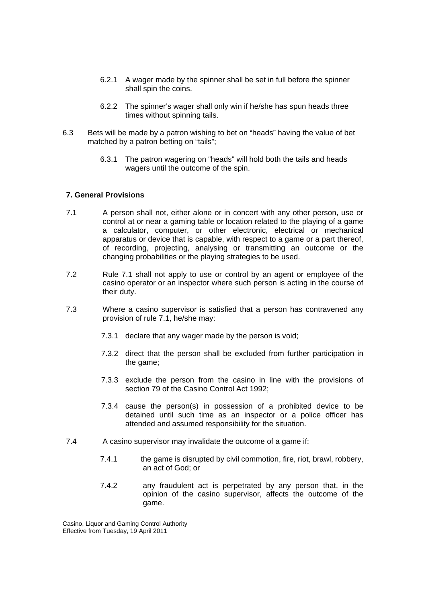- 6.2.1 A wager made by the spinner shall be set in full before the spinner shall spin the coins.
- 6.2.2 The spinner's wager shall only win if he/she has spun heads three times without spinning tails.
- 6.3 Bets will be made by a patron wishing to bet on "heads" having the value of bet matched by a patron betting on "tails";
	- 6.3.1 The patron wagering on "heads" will hold both the tails and heads wagers until the outcome of the spin.

#### **7. General Provisions**

- 7.1 A person shall not, either alone or in concert with any other person, use or control at or near a gaming table or location related to the playing of a game a calculator, computer, or other electronic, electrical or mechanical apparatus or device that is capable, with respect to a game or a part thereof, of recording, projecting, analysing or transmitting an outcome or the changing probabilities or the playing strategies to be used.
- 7.2 Rule 7.1 shall not apply to use or control by an agent or employee of the casino operator or an inspector where such person is acting in the course of their duty.
- 7.3 Where a casino supervisor is satisfied that a person has contravened any provision of rule 7.1, he/she may:
	- 7.3.1 declare that any wager made by the person is void;
	- 7.3.2 direct that the person shall be excluded from further participation in the game;
	- 7.3.3 exclude the person from the casino in line with the provisions of section 79 of the Casino Control Act 1992;
	- 7.3.4 cause the person(s) in possession of a prohibited device to be detained until such time as an inspector or a police officer has attended and assumed responsibility for the situation.
- 7.4 A casino supervisor may invalidate the outcome of a game if:
	- 7.4.1 the game is disrupted by civil commotion, fire, riot, brawl, robbery, an act of God; or
	- 7.4.2 any fraudulent act is perpetrated by any person that, in the opinion of the casino supervisor, affects the outcome of the game.